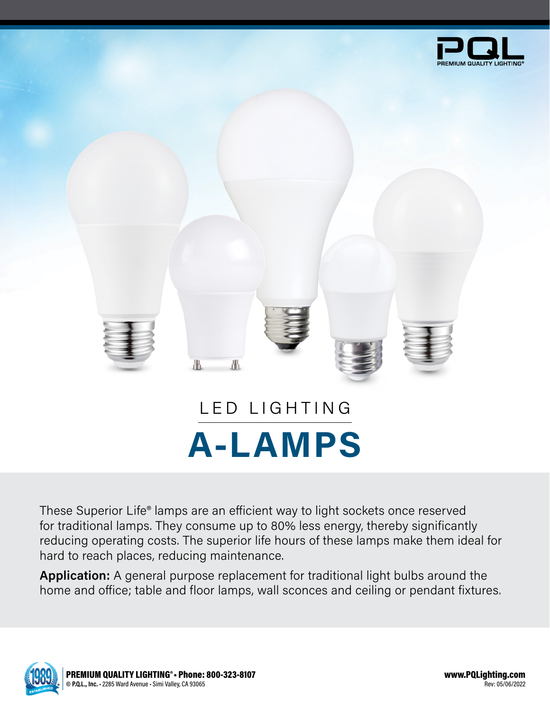



These Superior Life® lamps are an efficient way to light sockets once reserved for traditional lamps. They consume up to 80% less energy, thereby significantly reducing operating costs. The superior life hours of these lamps make them ideal for hard to reach places, reducing maintenance.

**Application:** A general purpose replacement for traditional light bulbs around the home and office; table and floor lamps, wall sconces and ceiling or pendant fixtures.

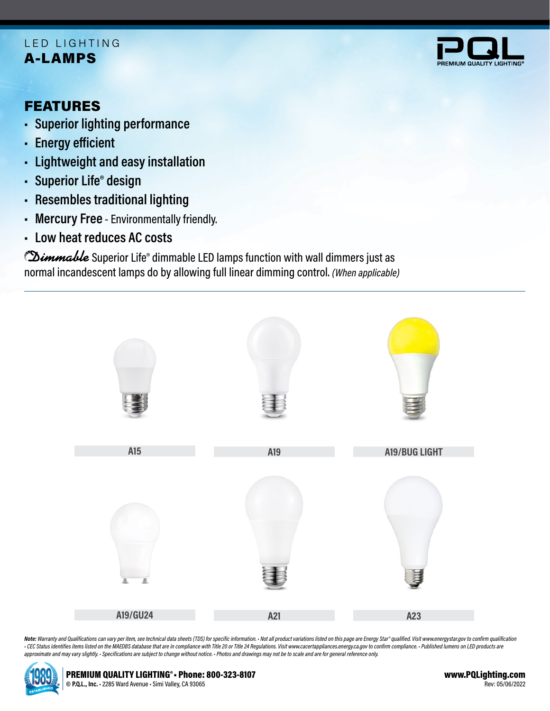## A-LAMPS LED LIGHTING



# FEATURES

- **• Superior lighting performance**
- **• Energy efficient**
- **• Lightweight and easy installation**
- **• Superior Life® design**
- **• Resembles traditional lighting**
- **• Mercury Free** Environmentally friendly.
- **• Low heat reduces AC costs**

Dimmable Superior Life® dimmable LED lamps function with wall dimmers just as normal incandescent lamps do by allowing full linear dimming control. *(When applicable)*



Note: Warranty and Qualifications can vary per item, see technical data sheets (TDS) for specific information. · Not all product variations listed on this page are Energy Star® qualified. Visit www.energystar.gov to confir - CEC Status identifies items listed on the MAEDBS database that are in compliance with Title 20 or Title 24 Regulations. Visit www.cacertappliances.energy.ca.gov to confirm compliance. - Published lumens on LED products a *approximate and may vary slightly. • Specifications are subject to change without notice. • Photos and drawings may not be to scale and are for general reference only.*

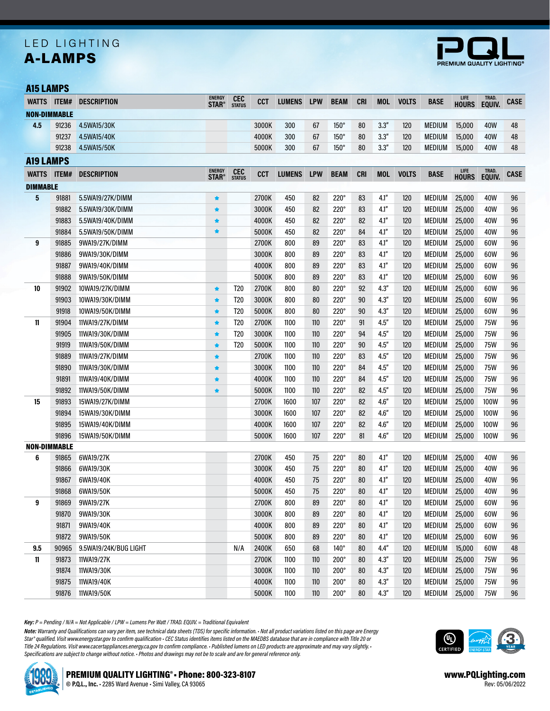## A-LAMPS LED LIGHTING



#### A15 LAMPS

| <b>WATTS</b>     |                     | ITEM# DESCRIPTION     | <b>ENERGY</b><br><b>STAR®</b> | <b>CEC</b><br><b>STATUS</b> | <b>CCT</b> | <b>LUMENS</b> | <b>LPW</b> | <b>BEAM</b> | <b>CRI</b> | <b>MOL</b> | <b>VOLTS</b> | <b>BASE</b>   | LIFE<br><b>HOURS</b> | TRAD.<br>EQUIV. | <b>CASE</b> |
|------------------|---------------------|-----------------------|-------------------------------|-----------------------------|------------|---------------|------------|-------------|------------|------------|--------------|---------------|----------------------|-----------------|-------------|
|                  | <b>NON-DIMMABLE</b> |                       |                               |                             |            |               |            |             |            |            |              |               |                      |                 |             |
| 4.5              | 91236               | 4.5WA15/30K           |                               |                             | 3000K      | 300           | 67         | $150^\circ$ | 80         | 3.3''      | 120          | <b>MEDIUM</b> | 15,000               | 40W             | 48          |
|                  | 91237               | 4.5WA15/40K           |                               |                             | 4000K      | 300           | 67         | $150^\circ$ | 80         | 3.3''      | 120          | <b>MEDIUM</b> | 15,000               | 40W             | 48          |
|                  | 91238               | 4.5WA15/50K           |                               |                             | 5000K      | 300           | 67         | $150^\circ$ | 80         | 3.3''      | 120          | <b>MEDIUM</b> | 15,000               | 40W             | 48          |
| <b>A19 LAMPS</b> |                     |                       |                               |                             |            |               |            |             |            |            |              |               |                      |                 |             |
|                  | WATTS ITEM#         | <b>DESCRIPTION</b>    | <b>ENERGY</b>                 | <b>CEC</b><br>STATUS        | <b>CCT</b> | <b>LUMENS</b> | <b>LPW</b> | <b>BEAM</b> | <b>CRI</b> | <b>MOL</b> | <b>VOLTS</b> | <b>BASE</b>   | <b>LIFE</b>          | TRAD.           | <b>CASE</b> |
| <b>DIMMABLE</b>  |                     |                       | <b>STAR®</b>                  |                             |            |               |            |             |            |            |              |               | <b>HOURS</b>         | EQUIV.          |             |
| 5                | 91881               | 5.5WA19/27K/DIMM      | $\bigstar$                    |                             | 2700K      | 450           | 82         | $220^\circ$ | 83         | 4.1''      | 120          | <b>MEDIUM</b> | 25,000               | 40W             | 96          |
|                  | 91882               | 5.5WA19/30K/DIMM      | $\bigstar$                    |                             | 3000K      | 450           | 82         | $220^\circ$ | 83         | 4.1''      | 120          | <b>MEDIUM</b> | 25,000               | 40W             | 96          |
|                  | 91883               | 5.5WA19/40K/DIMM      | ★                             |                             | 4000K      | 450           | 82         | $220^\circ$ | 82         | 4.1''      | 120          | <b>MEDIUM</b> | 25,000               | 40W             | 96          |
|                  | 91884               | 5.5WA19/50K/DIMM      | $\bigstar$                    |                             | 5000K      | 450           | 82         | $220^\circ$ | 84         | 4.1''      | 120          | <b>MEDIUM</b> | 25,000               | 40W             | 96          |
| 9                | 91885               | 9WA19/27K/DIMM        |                               |                             | 2700K      | 800           | 89         | $220^\circ$ | 83         | 4.1''      | 120          | <b>MEDIUM</b> | 25,000               | 60W             | 96          |
|                  | 91886               | 9WA19/30K/DIMM        |                               |                             | 3000K      | 800           | 89         | $220^\circ$ | 83         | 4.1''      | 120          | <b>MEDIUM</b> | 25,000               | 60W             | 96          |
|                  | 91887               | 9WA19/40K/DIMM        |                               |                             | 4000K      | 800           | 89         | $220^\circ$ | 83         | 4.1''      | 120          | <b>MEDIUM</b> | 25,000               | 60W             | 96          |
|                  | 91888               | 9WA19/50K/DIMM        |                               |                             | 5000K      | 800           | 89         | $220^\circ$ | 83         | 4.1''      | 120          | <b>MEDIUM</b> | 25,000               | 60W             | 96          |
| 10               | 91902               | 10WA19/27K/DIMM       | $\bigstar$                    | T <sub>20</sub>             | 2700K      | 800           | 80         | $220^\circ$ | 92         | 4.3''      | 120          | <b>MEDIUM</b> | 25,000               | 60W             | 96          |
|                  | 91903               | 10WA19/30K/DIMM       | $\bigstar$                    | T <sub>20</sub>             | 3000K      | 800           | 80         | $220^\circ$ | 90         | 4.3''      | 120          | <b>MEDIUM</b> | 25,000               | 60W             | 96          |
|                  | 91918               | 10WA19/50K/DIMM       | $\bigstar$                    | T <sub>20</sub>             | 5000K      | 800           | 80         | 220°        | 90         | 4.3''      | 120          | <b>MEDIUM</b> | 25,000               | 60W             | 96          |
| 11               | 91904               | 11WA19/27K/DIMM       | $\bigstar$                    | T20                         | 2700K      | 1100          | 110        | $220^\circ$ | 91         | 4.5''      | 120          | <b>MEDIUM</b> | 25,000               | 75W             | 96          |
|                  | 91905               | 11WA19/30K/DIMM       | $\bigstar$                    | T <sub>20</sub>             | 3000K      | 1100          | 110        | $220^\circ$ | 94         | 4.5''      | 120          | <b>MEDIUM</b> | 25,000               | <b>75W</b>      | 96          |
|                  | 91919               | 11WA19/50K/DIMM       | $\bigstar$                    | T <sub>20</sub>             | 5000K      | 1100          | 110        | $220^\circ$ | 90         | 4.5''      | 120          | <b>MEDIUM</b> | 25,000               | <b>75W</b>      | 96          |
|                  | 91889               | 11WA19/27K/DIMM       | $\bigstar$                    |                             | 2700K      | 1100          | 110        | $220^\circ$ | 83         | 4.5''      | 120          | <b>MEDIUM</b> | 25,000               | 75W             | 96          |
|                  | 91890               | 11WA19/30K/DIMM       | ★                             |                             | 3000K      | 1100          | 110        | $220^\circ$ | 84         | 4.5''      | 120          | <b>MEDIUM</b> | 25,000               | <b>75W</b>      | 96          |
|                  | 91891               | 11WA19/40K/DIMM       | $\bigstar$                    |                             | 4000K      | 1100          | 110        | $220^\circ$ | 84         | 4.5''      | 120          | <b>MEDIUM</b> | 25,000               | <b>75W</b>      | 96          |
|                  | 91892               | 11WA19/50K/DIMM       | ★                             |                             | 5000K      | 1100          | 110        | $220^\circ$ | 82         | 4.5''      | 120          | <b>MEDIUM</b> | 25,000               | <b>75W</b>      | 96          |
| 15               | 91893               | 15WA19/27K/DIMM       |                               |                             | 2700K      | 1600          | 107        | $220^\circ$ | 82         | 4.6''      | 120          | MEDIUM        | 25,000               | 100W            | 96          |
|                  | 91894               | 15WA19/30K/DIMM       |                               |                             | 3000K      | 1600          | 107        | $220^\circ$ | 82         | 4.6''      | 120          | <b>MEDIUM</b> | 25,000               | 100W            | 96          |
|                  | 91895               | 15WA19/40K/DIMM       |                               |                             | 4000K      | 1600          | 107        | $220^\circ$ | 82         | 4.6''      | 120          | <b>MEDIUM</b> | 25,000               | 100W            | 96          |
|                  | 91896               | 15WA19/50K/DIMM       |                               |                             | 5000K      | 1600          | 107        | $220^\circ$ | 81         | 4.6''      | 120          | <b>MEDIUM</b> | 25,000               | 100W            | 96          |
|                  | <b>NON-DIMMABLE</b> |                       |                               |                             |            |               |            |             |            |            |              |               |                      |                 |             |
| 6                | 91865               | 6WA19/27K             |                               |                             | 2700K      | 450           | 75         | $220^\circ$ | 80         | 4.1''      | 120          | MEDIUM        | 25,000               | 40W             | 96          |
|                  | 91866               | 6WA19/30K             |                               |                             | 3000K      | 450           | 75         | $220^\circ$ | 80         | 4.1''      | 120          | <b>MEDIUM</b> | 25,000               | 40W             | 96          |
|                  | 91867               | 6WA19/40K             |                               |                             | 4000K      | 450           | 75         | $220^\circ$ | 80         | 4.1''      | 120          | <b>MEDIUM</b> | 25,000               | 40W             | 96          |
|                  | 91868               | 6WA19/50K             |                               |                             | 5000K      | 450           | 75         | $220^\circ$ | 80         | 4.1''      | 120          | MEDIUM        | 25,000               | 40W             | 96          |
| 9                | 91869               | 9WA19/27K             |                               |                             | 2700K      | 800           | 89         | $220^\circ$ | 80         | 4.1''      | 120          | MEDIUM        | 25,000               | 60W             | 96          |
|                  | 91870               | 9WA19/30K             |                               |                             | 3000K      | 800           | 89         | $220^\circ$ | 80         | 4.1''      | 120          | MEDIUM        | 25,000               | 60W             | 96          |
|                  | 91871               | 9WA19/40K             |                               |                             | 4000K      | 800           | 89         | $220^\circ$ | 80         | 4.1''      | 120          | MEDIUM        | 25,000               | 60W             | 96          |
|                  | 91872               | 9WA19/50K             |                               |                             | 5000K      | 800           | 89         | $220^\circ$ | 80         | 4.1''      | 120          | MEDIUM        | 25,000               | 60W             | 96          |
| 9.5              | 90965               | 9.5WA19/24K/BUG LIGHT |                               | N/A                         | 2400K      | 650           | 68         | $140^\circ$ | 80         | 4.4''      | 120          | MEDIUM        | 15,000               | 60W             | 48          |
| 11               | 91873               | 11WA19/27K            |                               |                             | 2700K      | 1100          | 110        | $200^\circ$ | 80         | 4.3''      | 120          | <b>MEDIUM</b> | 25,000               | 75W             | 96          |
|                  | 91874               | 11WA19/30K            |                               |                             | 3000K      | 1100          | 110        | $200^\circ$ | 80         | 4.3''      | 120          | MEDIUM        | 25,000               | 75W             | 96          |
|                  | 91875               | 11WA19/40K            |                               |                             | 4000K      | 1100          | 110        | $200^\circ$ | 80         | 4.3''      | 120          | MEDIUM        | 25,000               | 75W             | 96          |
|                  | 91876               | 11WA19/50K            |                               |                             | 5000K      | 1100          | 110        | $200^\circ$ | 80         | 4.3''      | 120          | MEDIUM        | 25,000               | 75W             | 96          |

*Key: P = Pending / N/A = Not Applicable / LPW = Lumens Per Watt / TRAD. EQUIV. = Traditional Equivalent*

*Note: Warranty and Qualifications can vary per item, see technical data sheets (TDS) for specific information. • Not all product variations listed on this page are Energy Star® qualified. Visit www.energystar.gov to confirm qualification • CEC Status identifies items listed on the MAEDBS database that are in compliance with Title 20 or Title 24 Regulations. Visit www.cacertappliances.energy.ca.gov to confirm compliance. • Published lumens on LED products are approximate and may vary slightly. • Specifications are subject to change without notice. • Photos and drawings may not be to scale and are for general reference only.*



www.PQLighting.com Rev: 05/06/2022